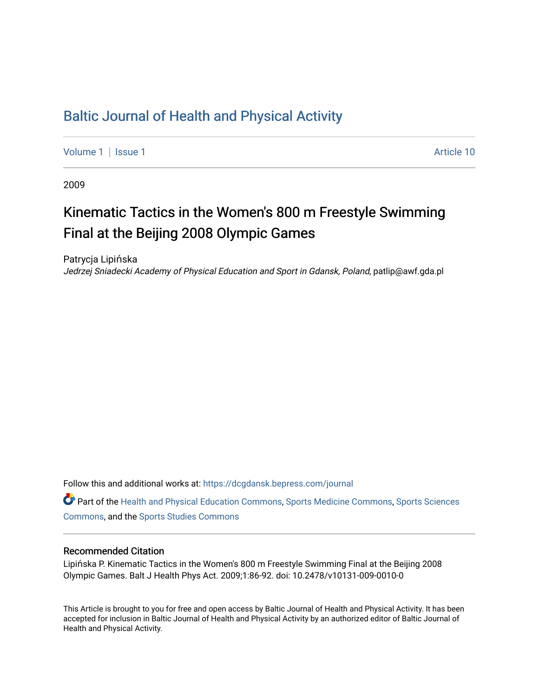## [Baltic Journal of Health and Physical Activity](https://dcgdansk.bepress.com/journal)

[Volume 1](https://dcgdansk.bepress.com/journal/vol1) | [Issue 1](https://dcgdansk.bepress.com/journal/vol1/iss1) Article 10

2009

# Kinematic Tactics in the Women's 800 m Freestyle Swimming Final at the Beijing 2008 Olympic Games

Patrycja Lipińska Jedrzej Sniadecki Academy of Physical Education and Sport in Gdansk, Poland, patlip@awf.gda.pl

Follow this and additional works at: [https://dcgdansk.bepress.com/journal](https://dcgdansk.bepress.com/journal?utm_source=dcgdansk.bepress.com%2Fjournal%2Fvol1%2Fiss1%2F10&utm_medium=PDF&utm_campaign=PDFCoverPages)

Part of the [Health and Physical Education Commons](http://network.bepress.com/hgg/discipline/1327?utm_source=dcgdansk.bepress.com%2Fjournal%2Fvol1%2Fiss1%2F10&utm_medium=PDF&utm_campaign=PDFCoverPages), [Sports Medicine Commons,](http://network.bepress.com/hgg/discipline/1331?utm_source=dcgdansk.bepress.com%2Fjournal%2Fvol1%2Fiss1%2F10&utm_medium=PDF&utm_campaign=PDFCoverPages) [Sports Sciences](http://network.bepress.com/hgg/discipline/759?utm_source=dcgdansk.bepress.com%2Fjournal%2Fvol1%2Fiss1%2F10&utm_medium=PDF&utm_campaign=PDFCoverPages) [Commons](http://network.bepress.com/hgg/discipline/759?utm_source=dcgdansk.bepress.com%2Fjournal%2Fvol1%2Fiss1%2F10&utm_medium=PDF&utm_campaign=PDFCoverPages), and the [Sports Studies Commons](http://network.bepress.com/hgg/discipline/1198?utm_source=dcgdansk.bepress.com%2Fjournal%2Fvol1%2Fiss1%2F10&utm_medium=PDF&utm_campaign=PDFCoverPages) 

#### Recommended Citation

Lipińska P. Kinematic Tactics in the Women's 800 m Freestyle Swimming Final at the Beijing 2008 Olympic Games. Balt J Health Phys Act. 2009;1:86-92. doi: 10.2478/v10131-009-0010-0

This Article is brought to you for free and open access by Baltic Journal of Health and Physical Activity. It has been accepted for inclusion in Baltic Journal of Health and Physical Activity by an authorized editor of Baltic Journal of Health and Physical Activity.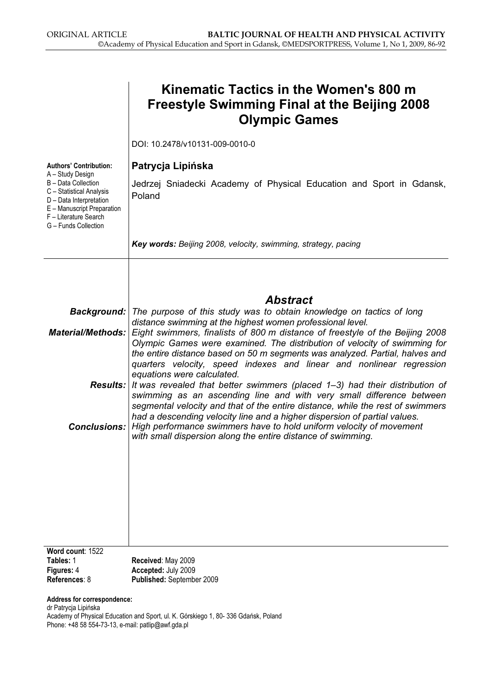|                                                                                                                                                                                                                | Kinematic Tactics in the Women's 800 m<br><b>Freestyle Swimming Final at the Beijing 2008</b><br><b>Olympic Games</b>                                                                                                                                                                                                                                                                                                                                                        |  |  |  |  |  |  |  |
|----------------------------------------------------------------------------------------------------------------------------------------------------------------------------------------------------------------|------------------------------------------------------------------------------------------------------------------------------------------------------------------------------------------------------------------------------------------------------------------------------------------------------------------------------------------------------------------------------------------------------------------------------------------------------------------------------|--|--|--|--|--|--|--|
|                                                                                                                                                                                                                | DOI: 10.2478/v10131-009-0010-0                                                                                                                                                                                                                                                                                                                                                                                                                                               |  |  |  |  |  |  |  |
| <b>Authors' Contribution:</b><br>A - Study Design<br>B - Data Collection<br>C - Statistical Analysis<br>D - Data Interpretation<br>E - Manuscript Preparation<br>F - Literature Search<br>G - Funds Collection | Patrycja Lipińska<br>Jedrzej Sniadecki Academy of Physical Education and Sport in Gdansk,<br>Poland<br>Key words: Beijing 2008, velocity, swimming, strategy, pacing                                                                                                                                                                                                                                                                                                         |  |  |  |  |  |  |  |
|                                                                                                                                                                                                                | <b>Abstract</b><br><b>Background:</b> The purpose of this study was to obtain knowledge on tactics of long                                                                                                                                                                                                                                                                                                                                                                   |  |  |  |  |  |  |  |
| <b>Material/Methods:</b>                                                                                                                                                                                       | distance swimming at the highest women professional level.<br>Eight swimmers, finalists of 800 m distance of freestyle of the Beijing 2008<br>Olympic Games were examined. The distribution of velocity of swimming for<br>the entire distance based on 50 m segments was analyzed. Partial, halves and<br>quarters velocity, speed indexes and linear and nonlinear regression<br>equations were calculated.                                                                |  |  |  |  |  |  |  |
| <b>Conclusions:</b>                                                                                                                                                                                            | <b>Results:</b> It was revealed that better swimmers (placed $1-3$ ) had their distribution of<br>swimming as an ascending line and with very small difference between<br>segmental velocity and that of the entire distance, while the rest of swimmers<br>had a descending velocity line and a higher dispersion of partial values.<br>High performance swimmers have to hold uniform velocity of movement<br>with small dispersion along the entire distance of swimming. |  |  |  |  |  |  |  |
|                                                                                                                                                                                                                |                                                                                                                                                                                                                                                                                                                                                                                                                                                                              |  |  |  |  |  |  |  |
| Word count: 1522<br>Tables: 1<br>Figures: 4<br>References: 8                                                                                                                                                   | Received: May 2009<br>Accepted: July 2009<br>Published: September 2009                                                                                                                                                                                                                                                                                                                                                                                                       |  |  |  |  |  |  |  |
| Address for correspondence:<br>dr Patrycja Lipińska                                                                                                                                                            | Academy of Physical Education and Sport, ul. K. Górskiego 1, 80-336 Gdańsk, Poland                                                                                                                                                                                                                                                                                                                                                                                           |  |  |  |  |  |  |  |

Phone: +48 58 554-73-13, e-mail: patlip@awf.gda.pl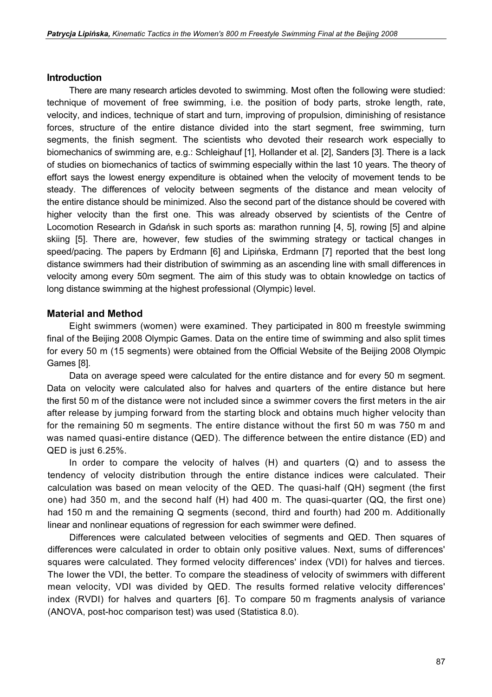#### Introduction

There are many research articles devoted to swimming. Most often the following were studied: technique of movement of free swimming, i.e. the position of body parts, stroke length, rate, velocity, and indices, technique of start and turn, improving of propulsion, diminishing of resistance forces, structure of the entire distance divided into the start segment, free swimming, turn segments, the finish segment. The scientists who devoted their research work especially to biomechanics of swimming are, e.g.: Schleighauf [1], Hollander et al. [2], Sanders [3]. There is a lack of studies on biomechanics of tactics of swimming especially within the last 10 years. The theory of effort says the lowest energy expenditure is obtained when the velocity of movement tends to be steady. The differences of velocity between segments of the distance and mean velocity of the entire distance should be minimized. Also the second part of the distance should be covered with higher velocity than the first one. This was already observed by scientists of the Centre of Locomotion Research in Gdańsk in such sports as: marathon running [4, 5], rowing [5] and alpine skiing [5]. There are, however, few studies of the swimming strategy or tactical changes in speed/pacing. The papers by Erdmann [6] and Lipińska, Erdmann [7] reported that the best long distance swimmers had their distribution of swimming as an ascending line with small differences in velocity among every 50m segment. The aim of this study was to obtain knowledge on tactics of long distance swimming at the highest professional (Olympic) level.

#### Material and Method

Eight swimmers (women) were examined. They participated in 800 m freestyle swimming final of the Beijing 2008 Olympic Games. Data on the entire time of swimming and also split times for every 50 m (15 segments) were obtained from the Official Website of the Beijing 2008 Olympic Games [8].

Data on average speed were calculated for the entire distance and for every 50 m segment. Data on velocity were calculated also for halves and quarters of the entire distance but here the first 50 m of the distance were not included since a swimmer covers the first meters in the air after release by jumping forward from the starting block and obtains much higher velocity than for the remaining 50 m segments. The entire distance without the first 50 m was 750 m and was named quasi-entire distance (QED). The difference between the entire distance (ED) and QED is just 6.25%.

In order to compare the velocity of halves  $(H)$  and quarters  $(Q)$  and to assess the tendency of velocity distribution through the entire distance indices were calculated. Their calculation was based on mean velocity of the QED. The quasi-half (QH) segment (the first one) had 350 m, and the second half (H) had 400 m. The quasi-quarter (QQ, the first one) had 150 m and the remaining Q segments (second, third and fourth) had 200 m. Additionally linear and nonlinear equations of regression for each swimmer were defined.

Differences were calculated between velocities of segments and QED. Then squares of differences were calculated in order to obtain only positive values. Next, sums of differences' squares were calculated. They formed velocity differences' index (VDI) for halves and tierces. The Iower the VDI, the better. To compare the steadiness of velocity of swimmers with different mean velocity, VDI was divided by QED. The results formed relative velocity differences' index (RVDI) for halves and quarters [6]. To compare 50 m fragments analysis of variance (ANOVA, post-hoc comparison test) was used (Statistica 8.0).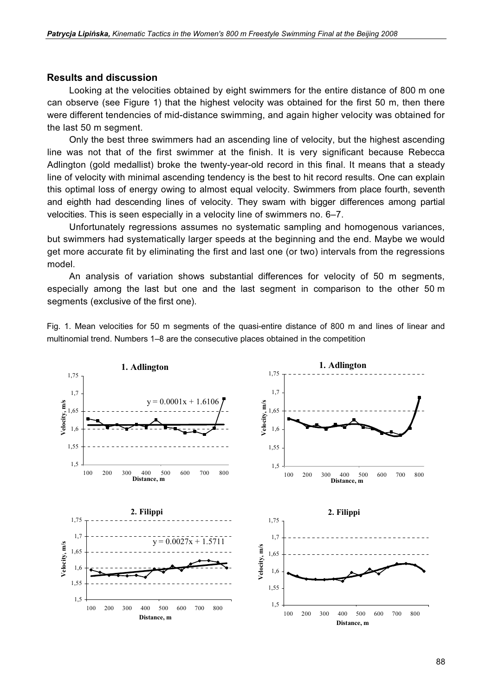#### Results and discussion

Looking at the velocities obtained by eight swimmers for the entire distance of 800 m one can observe (see Figure 1) that the highest velocity was obtained for the first 50 m, then there were different tendencies of mid-distance swimming, and again higher velocity was obtained for the last 50 m segment.

Only the best three swimmers had an ascending line of velocity, but the highest ascending line was not that of the first swimmer at the finish. It is very significant because Rebecca Adlington (gold medallist) broke the twenty-year-old record in this final. It means that a steady line of velocity with minimal ascending tendency is the best to hit record results. One can explain this optimal loss of energy owing to almost equal velocity. Swimmers from place fourth, seventh and eighth had descending lines of velocity. They swam with bigger differences among partial velocities. This is seen especially in a velocity line of swimmers no. 6–7.

Unfortunately regressions assumes no systematic sampling and homogenous variances, but swimmers had systematically larger speeds at the beginning and the end. Maybe we would get more accurate fit by eliminating the first and last one (or two) intervals from the regressions model.

An analysis of variation shows substantial differences for velocity of 50 m segments, especially among the last but one and the last segment in comparison to the other 50 m segments (exclusive of the first one).

Fig. 1. Mean velocities for 50 m segments of the quasi-entire distance of 800 m and lines of linear and multinomial trend. Numbers 1–8 are the consecutive places obtained in the competition

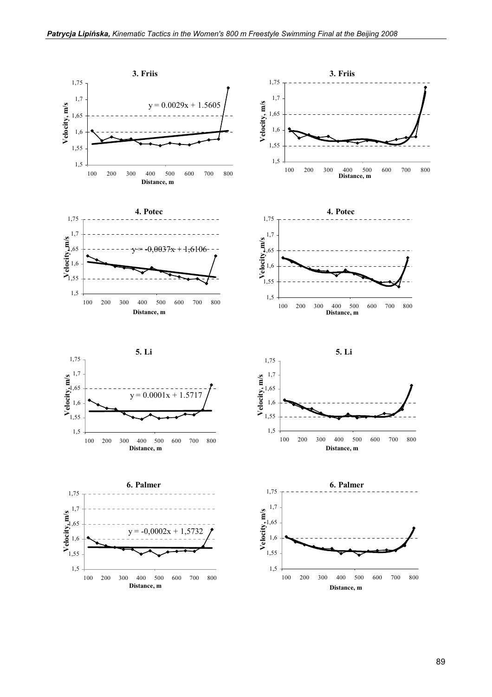

89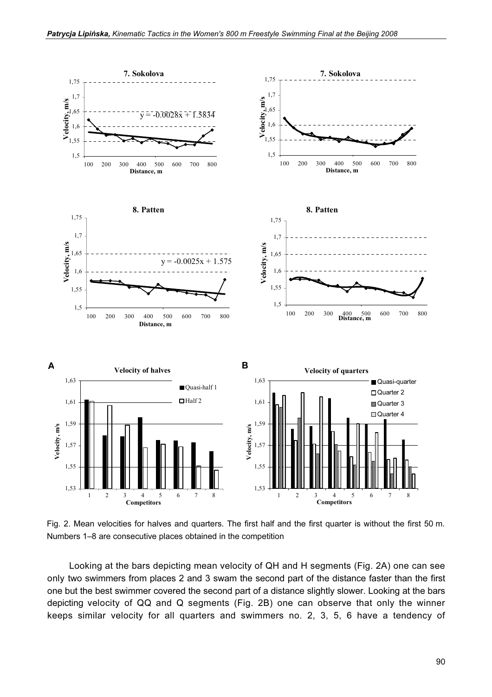

Fig. 2. Mean velocities for halves and quarters. The first half and the first quarter is without the first 50 m. Numbers 1–8 are consecutive places obtained in the competition

Looking at the bars depicting mean velocity of QH and H segments (Fig. 2A) one can see only two swimmers from places 2 and 3 swam the second part of the distance faster than the first one but the best swimmer covered the second part of a distance slightly slower. Looking at the bars depicting velocity of QQ and Q segments (Fig. 2B) one can observe that only the winner keeps similar velocity for all quarters and swimmers no. 2, 3, 5, 6 have a tendency of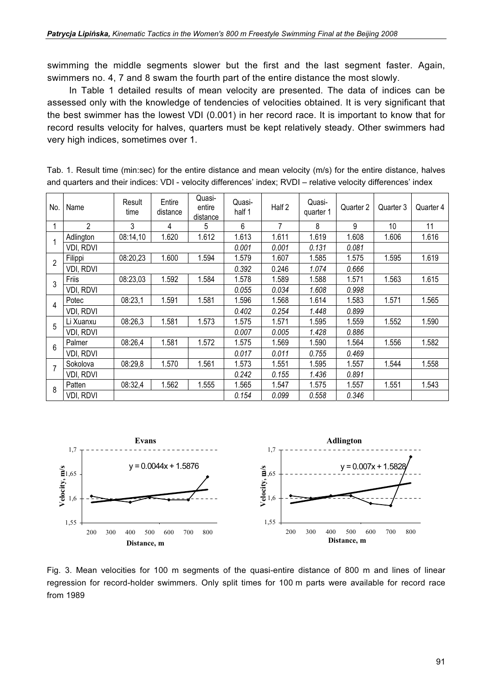swimming the middle segments slower but the first and the last segment faster. Again, swimmers no. 4, 7 and 8 swam the fourth part of the entire distance the most slowly.

In Table 1 detailed results of mean velocity are presented. The data of indices can be assessed only with the knowledge of tendencies of velocities obtained. It is very significant that the best swimmer has the lowest VDI (0.001) in her record race. It is important to know that for record results velocity for halves, quarters must be kept relatively steady. Other swimmers had very high indices, sometimes over 1.

|                                                                                                                |  |  |  |  |  |  | Tab. 1. Result time (min:sec) for the entire distance and mean velocity (m/s) for the entire distance, halves |                                         |  |  |  |  |  |  |  |  |  |  |
|----------------------------------------------------------------------------------------------------------------|--|--|--|--|--|--|---------------------------------------------------------------------------------------------------------------|-----------------------------------------|--|--|--|--|--|--|--|--|--|--|
| and quarters and their indices: VDI - velocity differences' index; RVDI - relative velocity differences' index |  |  |  |  |  |  |                                                                                                               |                                         |  |  |  |  |  |  |  |  |  |  |
|                                                                                                                |  |  |  |  |  |  |                                                                                                               | $\bigcap_{x \in \mathbb{R}} \mathbb{Z}$ |  |  |  |  |  |  |  |  |  |  |

| No.            | Name           | Result<br>time | Entire<br>distance | Quasi-<br>entire<br>distance | Quasi-<br>half 1 | Half 2 | Quasi-<br>quarter 1 | Quarter 2 | Quarter 3 | Quarter 4 |
|----------------|----------------|----------------|--------------------|------------------------------|------------------|--------|---------------------|-----------|-----------|-----------|
|                | $\overline{2}$ | 3              | 4                  | 5                            | 6                | 7      | 8                   | 9         | 10        | 11        |
|                | Adlington      | 08:14,10       | 1.620              | 1.612                        | 1.613            | 1.611  | 1.619               | 1.608     | 1.606     | 1.616     |
|                | VDI, RDVI      |                |                    |                              | 0.001            | 0.001  | 0.131               | 0.081     |           |           |
| $\overline{2}$ | Filippi        | 08:20,23       | 1.600              | 1.594                        | 1.579            | 1.607  | 1.585               | 1.575     | 1.595     | 1.619     |
|                | VDI, RDVI      |                |                    |                              | 0.392            | 0.246  | 1.074               | 0.666     |           |           |
| 3              | Friis          | 08:23,03       | 1.592              | 1.584                        | 1.578            | 1.589  | 1.588               | 1.571     | 1.563     | 1.615     |
|                | VDI, RDVI      |                |                    |                              | 0.055            | 0.034  | 1.608               | 0.998     |           |           |
| 4              | Potec          | 08:23,1        | 1.591              | 1.581                        | 1.596            | 1.568  | 1.614               | 1.583     | 1.571     | 1.565     |
|                | VDI, RDVI      |                |                    |                              | 0.402            | 0.254  | 1.448               | 0.899     |           |           |
| 5              | Li Xuanxu      | 08:26,3        | 1.581              | 1.573                        | 1.575            | 1.571  | 1.595               | 1.559     | 1.552     | 1.590     |
|                | VDI, RDVI      |                |                    |                              | 0.007            | 0.005  | 1.428               | 0.886     |           |           |
| 6              | Palmer         | 08:26,4        | 1.581              | 1.572                        | 1.575            | 1.569  | 1.590               | 1.564     | 1.556     | 1.582     |
|                | VDI, RDVI      |                |                    |                              | 0.017            | 0.011  | 0.755               | 0.469     |           |           |
| $\overline{7}$ | Sokolova       | 08:29,8        | 1.570              | 1.561                        | 1.573            | 1.551  | 1.595               | 1.557     | 1.544     | 1.558     |
|                | VDI, RDVI      |                |                    |                              | 0.242            | 0.155  | 1.436               | 0.891     |           |           |
| 8              | Patten         | 08:32,4        | 1.562              | 1.555                        | 1.565            | 1.547  | 1.575               | 1.557     | 1.551     | 1.543     |
|                | VDI, RDVI      |                |                    |                              | 0.154            | 0.099  | 0.558               | 0.346     |           |           |



Fig. 3. Mean velocities for 100 m segments of the quasi-entire distance of 800 m and lines of linear regression for record-holder swimmers. Only split times for 100 m parts were available for record race from 1989